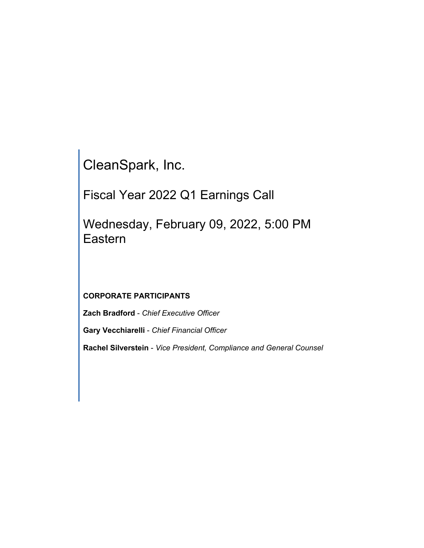CleanSpark, Inc.

Fiscal Year 2022 Q1 Earnings Call

Wednesday, February 09, 2022, 5:00 PM Eastern

# **CORPORATE PARTICIPANTS**

**Zach Bradford** - *Chief Executive Officer*

**Gary Vecchiarelli** - *Chief Financial Officer*

**Rachel Silverstein** - *Vice President, Compliance and General Counsel*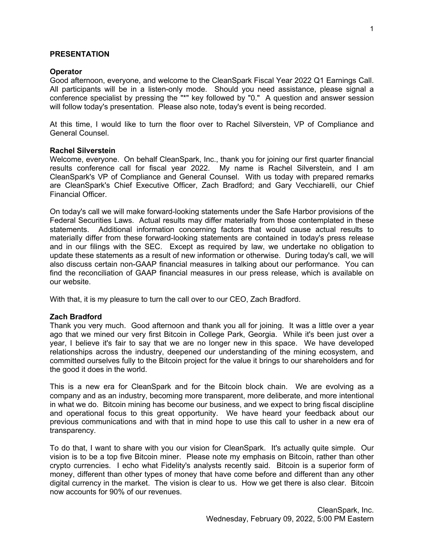#### **PRESENTATION**

#### **Operator**

Good afternoon, everyone, and welcome to the CleanSpark Fiscal Year 2022 Q1 Earnings Call. All participants will be in a listen-only mode. Should you need assistance, please signal a conference specialist by pressing the "\*" key followed by "0." A question and answer session will follow today's presentation. Please also note, today's event is being recorded.

At this time, I would like to turn the floor over to Rachel Silverstein, VP of Compliance and General Counsel.

#### **Rachel Silverstein**

Welcome, everyone. On behalf CleanSpark, Inc., thank you for joining our first quarter financial results conference call for fiscal year 2022. My name is Rachel Silverstein, and I am CleanSpark's VP of Compliance and General Counsel. With us today with prepared remarks are CleanSpark's Chief Executive Officer, Zach Bradford; and Gary Vecchiarelli, our Chief Financial Officer.

On today's call we will make forward-looking statements under the Safe Harbor provisions of the Federal Securities Laws. Actual results may differ materially from those contemplated in these statements. Additional information concerning factors that would cause actual results to materially differ from these forward-looking statements are contained in today's press release and in our filings with the SEC. Except as required by law, we undertake no obligation to update these statements as a result of new information or otherwise. During today's call, we will also discuss certain non-GAAP financial measures in talking about our performance. You can find the reconciliation of GAAP financial measures in our press release, which is available on our website.

With that, it is my pleasure to turn the call over to our CEO, Zach Bradford.

### **Zach Bradford**

Thank you very much. Good afternoon and thank you all for joining. It was a little over a year ago that we mined our very first Bitcoin in College Park, Georgia. While it's been just over a year, I believe it's fair to say that we are no longer new in this space. We have developed relationships across the industry, deepened our understanding of the mining ecosystem, and committed ourselves fully to the Bitcoin project for the value it brings to our shareholders and for the good it does in the world.

This is a new era for CleanSpark and for the Bitcoin block chain. We are evolving as a company and as an industry, becoming more transparent, more deliberate, and more intentional in what we do. Bitcoin mining has become our business, and we expect to bring fiscal discipline and operational focus to this great opportunity. We have heard your feedback about our previous communications and with that in mind hope to use this call to usher in a new era of transparency.

To do that, I want to share with you our vision for CleanSpark. It's actually quite simple. Our vision is to be a top five Bitcoin miner. Please note my emphasis on Bitcoin, rather than other crypto currencies. I echo what Fidelity's analysts recently said. Bitcoin is a superior form of money, different than other types of money that have come before and different than any other digital currency in the market. The vision is clear to us. How we get there is also clear. Bitcoin now accounts for 90% of our revenues.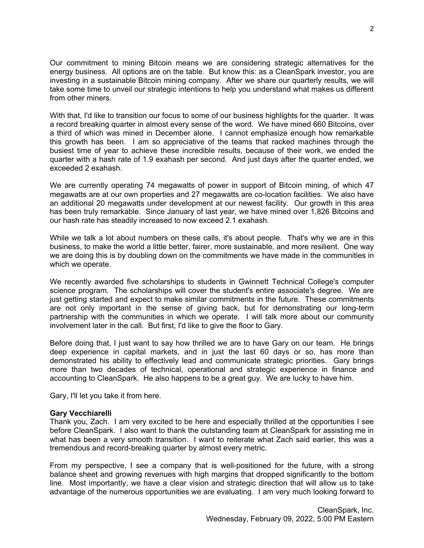Our commitment to mining Bitcoin means we are considering strategic alternatives for the energy business. All options are on the table. But know this: as a CleanSpark investor, you are investing in a sustainable Bitcoin mining company. After we share our quarterly results, we will take some time to unveil our strategic intentions to help you understand what makes us different from other miners.

With that, I'd like to transition our focus to some of our business highlights for the quarter. It was a record breaking quarter in almost every sense of the word. We have mined 660 Bitcoins, over a third of which was mined in December alone. I cannot emphasize enough how remarkable this growth has been. I am so appreciative of the teams that racked machines through the busiest time of year to achieve these incredible results, because of their work, we ended the quarter with a hash rate of 1.9 exahash per second. And just days after the quarter ended, we exceeded 2 exahash.

We are currently operating 74 megawatts of power in support of Bitcoin mining, of which 47 megawatts are at our own properties and 27 megawatts are co-location facilities. We also have an additional 20 megawatts under development at our newest facility. Our growth in this area has been truly remarkable. Since January of last year, we have mined over 1,826 Bitcoins and our hash rate has steadily increased to now exceed 2.1 exahash.

While we talk a lot about numbers on these calls, it's about people. That's why we are in this business, to make the world a little better, fairer, more sustainable, and more resilient. One way we are doing this is by doubling down on the commitments we have made in the communities in which we operate.

We recently awarded five scholarships to students in Gwinnett Technical College's computer science program. The scholarships will cover the student's entire associate's degree. We are just getting started and expect to make similar commitments in the future. These commitments are not only important in the sense of giving back, but for demonstrating our long-term partnership with the communities in which we operate. I will talk more about our community involvement later in the call. But first, I'd like to give the floor to Gary.

Before doing that, I just want to say how thrilled we are to have Gary on our team. He brings deep experience in capital markets, and in just the last 60 days or so, has more than demonstrated his ability to effectively lead and communicate strategic priorities. Gary brings more than two decades of technical, operational and strategic experience in finance and accounting to CleanSpark. He also happens to be a great guy. We are lucky to have him.

Gary, I'll let you take it from here.

# **Gary Vecchiarelli**

Thank you, Zach. I am very excited to be here and especially thrilled at the opportunities I see before CleanSpark. I also want to thank the outstanding team at CleanSpark for assisting me in what has been a very smooth transition. I want to reiterate what Zach said earlier, this was a tremendous and record-breaking quarter by almost every metric.

From my perspective, I see a company that is well-positioned for the future, with a strong balance sheet and growing revenues with high margins that dropped significantly to the bottom line. Most importantly, we have a clear vision and strategic direction that will allow us to take advantage of the numerous opportunities we are evaluating. I am very much looking forward to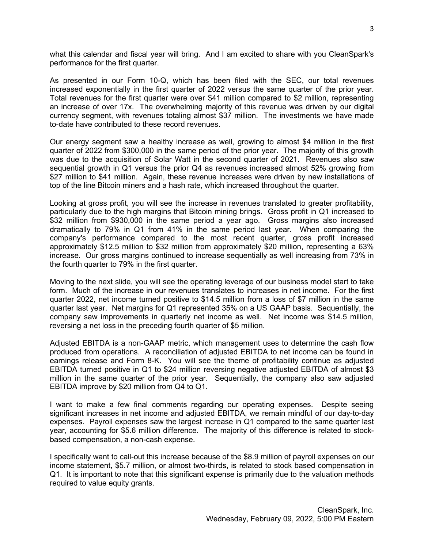what this calendar and fiscal year will bring. And I am excited to share with you CleanSpark's performance for the first quarter.

As presented in our Form 10-Q, which has been filed with the SEC, our total revenues increased exponentially in the first quarter of 2022 versus the same quarter of the prior year. Total revenues for the first quarter were over \$41 million compared to \$2 million, representing an increase of over 17x. The overwhelming majority of this revenue was driven by our digital currency segment, with revenues totaling almost \$37 million. The investments we have made to-date have contributed to these record revenues.

Our energy segment saw a healthy increase as well, growing to almost \$4 million in the first quarter of 2022 from \$300,000 in the same period of the prior year. The majority of this growth was due to the acquisition of Solar Watt in the second quarter of 2021. Revenues also saw sequential growth in Q1 versus the prior Q4 as revenues increased almost 52% growing from \$27 million to \$41 million. Again, these revenue increases were driven by new installations of top of the line Bitcoin miners and a hash rate, which increased throughout the quarter.

Looking at gross profit, you will see the increase in revenues translated to greater profitability, particularly due to the high margins that Bitcoin mining brings. Gross profit in Q1 increased to \$32 million from \$930,000 in the same period a year ago. Gross margins also increased dramatically to 79% in Q1 from 41% in the same period last year. When comparing the company's performance compared to the most recent quarter, gross profit increased approximately \$12.5 million to \$32 million from approximately \$20 million, representing a 63% increase. Our gross margins continued to increase sequentially as well increasing from 73% in the fourth quarter to 79% in the first quarter.

Moving to the next slide, you will see the operating leverage of our business model start to take form. Much of the increase in our revenues translates to increases in net income. For the first quarter 2022, net income turned positive to \$14.5 million from a loss of \$7 million in the same quarter last year. Net margins for Q1 represented 35% on a US GAAP basis. Sequentially, the company saw improvements in quarterly net income as well. Net income was \$14.5 million, reversing a net loss in the preceding fourth quarter of \$5 million.

Adjusted EBITDA is a non-GAAP metric, which management uses to determine the cash flow produced from operations. A reconciliation of adjusted EBITDA to net income can be found in earnings release and Form 8-K. You will see the theme of profitability continue as adjusted EBITDA turned positive in Q1 to \$24 million reversing negative adjusted EBITDA of almost \$3 million in the same quarter of the prior year. Sequentially, the company also saw adjusted EBITDA improve by \$20 million from Q4 to Q1.

I want to make a few final comments regarding our operating expenses. Despite seeing significant increases in net income and adjusted EBITDA, we remain mindful of our day-to-day expenses. Payroll expenses saw the largest increase in Q1 compared to the same quarter last year, accounting for \$5.6 million difference. The majority of this difference is related to stockbased compensation, a non-cash expense.

I specifically want to call-out this increase because of the \$8.9 million of payroll expenses on our income statement, \$5.7 million, or almost two-thirds, is related to stock based compensation in Q1. It is important to note that this significant expense is primarily due to the valuation methods required to value equity grants.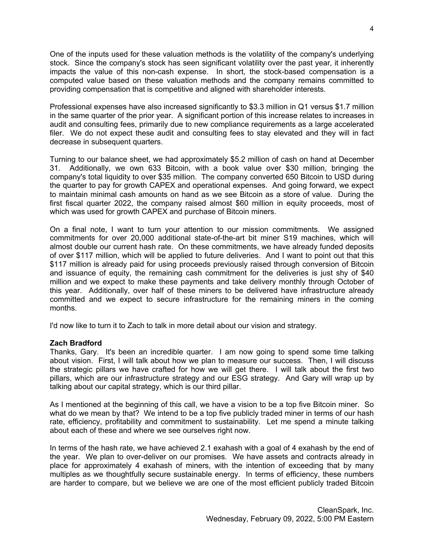One of the inputs used for these valuation methods is the volatility of the company's underlying stock. Since the company's stock has seen significant volatility over the past year, it inherently impacts the value of this non-cash expense. In short, the stock-based compensation is a computed value based on these valuation methods and the company remains committed to providing compensation that is competitive and aligned with shareholder interests.

Professional expenses have also increased significantly to \$3.3 million in Q1 versus \$1.7 million in the same quarter of the prior year. A significant portion of this increase relates to increases in audit and consulting fees, primarily due to new compliance requirements as a large accelerated filer. We do not expect these audit and consulting fees to stay elevated and they will in fact decrease in subsequent quarters.

Turning to our balance sheet, we had approximately \$5.2 million of cash on hand at December 31. Additionally, we own 633 Bitcoin, with a book value over \$30 million, bringing the company's total liquidity to over \$35 million. The company converted 650 Bitcoin to USD during the quarter to pay for growth CAPEX and operational expenses. And going forward, we expect to maintain minimal cash amounts on hand as we see Bitcoin as a store of value. During the first fiscal quarter 2022, the company raised almost \$60 million in equity proceeds, most of which was used for growth CAPEX and purchase of Bitcoin miners.

On a final note, I want to turn your attention to our mission commitments. We assigned commitments for over 20,000 additional state-of-the-art bit miner S19 machines, which will almost double our current hash rate. On these commitments, we have already funded deposits of over \$117 million, which will be applied to future deliveries. And I want to point out that this \$117 million is already paid for using proceeds previously raised through conversion of Bitcoin and issuance of equity, the remaining cash commitment for the deliveries is just shy of \$40 million and we expect to make these payments and take delivery monthly through October of this year. Additionally, over half of these miners to be delivered have infrastructure already committed and we expect to secure infrastructure for the remaining miners in the coming months.

I'd now like to turn it to Zach to talk in more detail about our vision and strategy.

### **Zach Bradford**

Thanks, Gary. It's been an incredible quarter. I am now going to spend some time talking about vision. First, I will talk about how we plan to measure our success. Then, I will discuss the strategic pillars we have crafted for how we will get there. I will talk about the first two pillars, which are our infrastructure strategy and our ESG strategy. And Gary will wrap up by talking about our capital strategy, which is our third pillar.

As I mentioned at the beginning of this call, we have a vision to be a top five Bitcoin miner. So what do we mean by that? We intend to be a top five publicly traded miner in terms of our hash rate, efficiency, profitability and commitment to sustainability. Let me spend a minute talking about each of these and where we see ourselves right now.

In terms of the hash rate, we have achieved 2.1 exahash with a goal of 4 exahash by the end of the year. We plan to over-deliver on our promises. We have assets and contracts already in place for approximately 4 exahash of miners, with the intention of exceeding that by many multiples as we thoughtfully secure sustainable energy. In terms of efficiency, these numbers are harder to compare, but we believe we are one of the most efficient publicly traded Bitcoin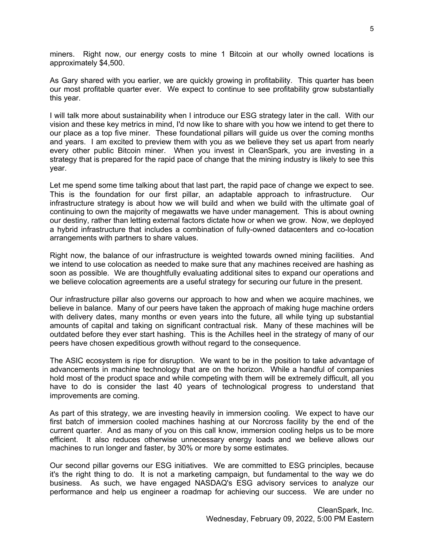miners. Right now, our energy costs to mine 1 Bitcoin at our wholly owned locations is approximately \$4,500.

As Gary shared with you earlier, we are quickly growing in profitability. This quarter has been our most profitable quarter ever. We expect to continue to see profitability grow substantially this year.

I will talk more about sustainability when I introduce our ESG strategy later in the call. With our vision and these key metrics in mind, I'd now like to share with you how we intend to get there to our place as a top five miner. These foundational pillars will guide us over the coming months and years. I am excited to preview them with you as we believe they set us apart from nearly every other public Bitcoin miner. When you invest in CleanSpark, you are investing in a strategy that is prepared for the rapid pace of change that the mining industry is likely to see this year.

Let me spend some time talking about that last part, the rapid pace of change we expect to see. This is the foundation for our first pillar, an adaptable approach to infrastructure. Our infrastructure strategy is about how we will build and when we build with the ultimate goal of continuing to own the majority of megawatts we have under management. This is about owning our destiny, rather than letting external factors dictate how or when we grow. Now, we deployed a hybrid infrastructure that includes a combination of fully-owned datacenters and co-location arrangements with partners to share values.

Right now, the balance of our infrastructure is weighted towards owned mining facilities. And we intend to use colocation as needed to make sure that any machines received are hashing as soon as possible. We are thoughtfully evaluating additional sites to expand our operations and we believe colocation agreements are a useful strategy for securing our future in the present.

Our infrastructure pillar also governs our approach to how and when we acquire machines, we believe in balance. Many of our peers have taken the approach of making huge machine orders with delivery dates, many months or even years into the future, all while tying up substantial amounts of capital and taking on significant contractual risk. Many of these machines will be outdated before they ever start hashing. This is the Achilles heel in the strategy of many of our peers have chosen expeditious growth without regard to the consequence.

The ASIC ecosystem is ripe for disruption. We want to be in the position to take advantage of advancements in machine technology that are on the horizon. While a handful of companies hold most of the product space and while competing with them will be extremely difficult, all you have to do is consider the last 40 years of technological progress to understand that improvements are coming.

As part of this strategy, we are investing heavily in immersion cooling. We expect to have our first batch of immersion cooled machines hashing at our Norcross facility by the end of the current quarter. And as many of you on this call know, immersion cooling helps us to be more efficient. It also reduces otherwise unnecessary energy loads and we believe allows our machines to run longer and faster, by 30% or more by some estimates.

Our second pillar governs our ESG initiatives. We are committed to ESG principles, because it's the right thing to do. It is not a marketing campaign, but fundamental to the way we do business. As such, we have engaged NASDAQ's ESG advisory services to analyze our performance and help us engineer a roadmap for achieving our success. We are under no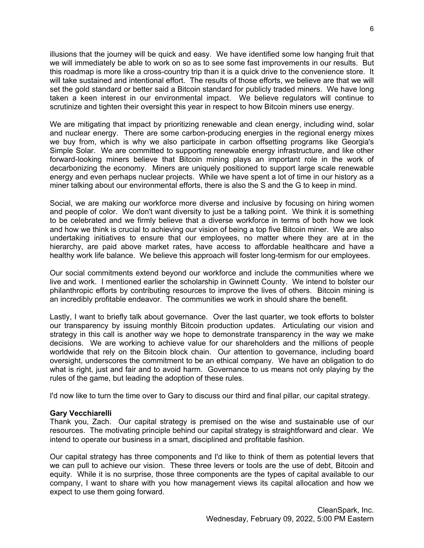illusions that the journey will be quick and easy. We have identified some low hanging fruit that we will immediately be able to work on so as to see some fast improvements in our results. But this roadmap is more like a cross-country trip than it is a quick drive to the convenience store. It will take sustained and intentional effort. The results of those efforts, we believe are that we will set the gold standard or better said a Bitcoin standard for publicly traded miners. We have long taken a keen interest in our environmental impact. We believe regulators will continue to scrutinize and tighten their oversight this year in respect to how Bitcoin miners use energy.

We are mitigating that impact by prioritizing renewable and clean energy, including wind, solar and nuclear energy. There are some carbon-producing energies in the regional energy mixes we buy from, which is why we also participate in carbon offsetting programs like Georgia's Simple Solar. We are committed to supporting renewable energy infrastructure, and like other forward-looking miners believe that Bitcoin mining plays an important role in the work of decarbonizing the economy. Miners are uniquely positioned to support large scale renewable energy and even perhaps nuclear projects. While we have spent a lot of time in our history as a miner talking about our environmental efforts, there is also the S and the G to keep in mind.

Social, we are making our workforce more diverse and inclusive by focusing on hiring women and people of color. We don't want diversity to just be a talking point. We think it is something to be celebrated and we firmly believe that a diverse workforce in terms of both how we look and how we think is crucial to achieving our vision of being a top five Bitcoin miner. We are also undertaking initiatives to ensure that our employees, no matter where they are at in the hierarchy, are paid above market rates, have access to affordable healthcare and have a healthy work life balance. We believe this approach will foster long-termism for our employees.

Our social commitments extend beyond our workforce and include the communities where we live and work. I mentioned earlier the scholarship in Gwinnett County. We intend to bolster our philanthropic efforts by contributing resources to improve the lives of others. Bitcoin mining is an incredibly profitable endeavor. The communities we work in should share the benefit.

Lastly, I want to briefly talk about governance. Over the last quarter, we took efforts to bolster our transparency by issuing monthly Bitcoin production updates. Articulating our vision and strategy in this call is another way we hope to demonstrate transparency in the way we make decisions. We are working to achieve value for our shareholders and the millions of people worldwide that rely on the Bitcoin block chain. Our attention to governance, including board oversight, underscores the commitment to be an ethical company. We have an obligation to do what is right, just and fair and to avoid harm. Governance to us means not only playing by the rules of the game, but leading the adoption of these rules.

I'd now like to turn the time over to Gary to discuss our third and final pillar, our capital strategy.

# **Gary Vecchiarelli**

Thank you, Zach. Our capital strategy is premised on the wise and sustainable use of our resources. The motivating principle behind our capital strategy is straightforward and clear. We intend to operate our business in a smart, disciplined and profitable fashion.

Our capital strategy has three components and I'd like to think of them as potential levers that we can pull to achieve our vision. These three levers or tools are the use of debt, Bitcoin and equity. While it is no surprise, those three components are the types of capital available to our company, I want to share with you how management views its capital allocation and how we expect to use them going forward.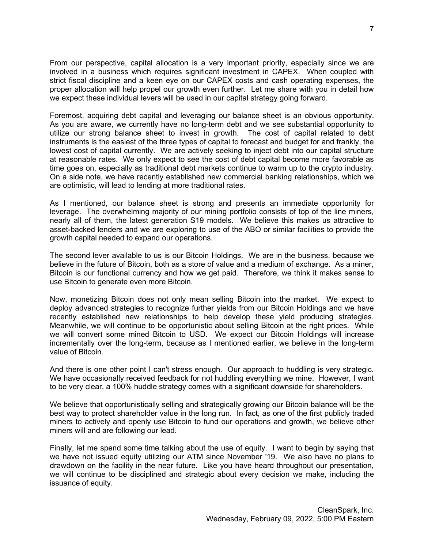From our perspective, capital allocation is a very important priority, especially since we are involved in a business which requires significant investment in CAPEX. When coupled with strict fiscal discipline and a keen eye on our CAPEX costs and cash operating expenses, the proper allocation will help propel our growth even further. Let me share with you in detail how we expect these individual levers will be used in our capital strategy going forward.

Foremost, acquiring debt capital and leveraging our balance sheet is an obvious opportunity. As you are aware, we currently have no long-term debt and we see substantial opportunity to utilize our strong balance sheet to invest in growth. The cost of capital related to debt instruments is the easiest of the three types of capital to forecast and budget for and frankly, the lowest cost of capital currently. We are actively seeking to inject debt into our capital structure at reasonable rates. We only expect to see the cost of debt capital become more favorable as time goes on, especially as traditional debt markets continue to warm up to the crypto industry. On a side note, we have recently established new commercial banking relationships, which we are optimistic, will lead to lending at more traditional rates.

As I mentioned, our balance sheet is strong and presents an immediate opportunity for leverage. The overwhelming majority of our mining portfolio consists of top of the line miners, nearly all of them, the latest generation S19 models. We believe this makes us attractive to asset-backed lenders and we are exploring to use of the ABO or similar facilities to provide the growth capital needed to expand our operations.

The second lever available to us is our Bitcoin Holdings. We are in the business, because we believe in the future of Bitcoin, both as a store of value and a medium of exchange. As a miner, Bitcoin is our functional currency and how we get paid. Therefore, we think it makes sense to use Bitcoin to generate even more Bitcoin.

Now, monetizing Bitcoin does not only mean selling Bitcoin into the market. We expect to deploy advanced strategies to recognize further yields from our Bitcoin Holdings and we have recently established new relationships to help develop these yield producing strategies. Meanwhile, we will continue to be opportunistic about selling Bitcoin at the right prices. While we will convert some mined Bitcoin to USD. We expect our Bitcoin Holdings will increase incrementally over the long-term, because as I mentioned earlier, we believe in the long-term value of Bitcoin.

And there is one other point I can't stress enough. Our approach to huddling is very strategic. We have occasionally received feedback for not huddling everything we mine. However, I want to be very clear, a 100% huddle strategy comes with a significant downside for shareholders.

We believe that opportunistically selling and strategically growing our Bitcoin balance will be the best way to protect shareholder value in the long run. In fact, as one of the first publicly traded miners to actively and openly use Bitcoin to fund our operations and growth, we believe other miners will and are following our lead.

Finally, let me spend some time talking about the use of equity. I want to begin by saying that we have not issued equity utilizing our ATM since November '19. We also have no plans to drawdown on the facility in the near future. Like you have heard throughout our presentation, we will continue to be disciplined and strategic about every decision we make, including the issuance of equity.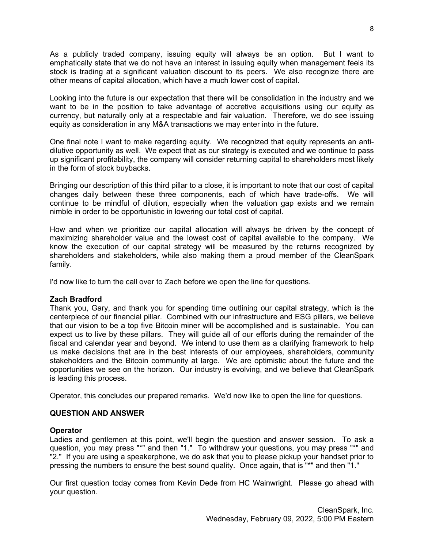As a publicly traded company, issuing equity will always be an option. But I want to emphatically state that we do not have an interest in issuing equity when management feels its stock is trading at a significant valuation discount to its peers. We also recognize there are other means of capital allocation, which have a much lower cost of capital.

Looking into the future is our expectation that there will be consolidation in the industry and we want to be in the position to take advantage of accretive acquisitions using our equity as currency, but naturally only at a respectable and fair valuation. Therefore, we do see issuing equity as consideration in any M&A transactions we may enter into in the future.

One final note I want to make regarding equity. We recognized that equity represents an antidilutive opportunity as well. We expect that as our strategy is executed and we continue to pass up significant profitability, the company will consider returning capital to shareholders most likely in the form of stock buybacks.

Bringing our description of this third pillar to a close, it is important to note that our cost of capital changes daily between these three components, each of which have trade-offs. We will continue to be mindful of dilution, especially when the valuation gap exists and we remain nimble in order to be opportunistic in lowering our total cost of capital.

How and when we prioritize our capital allocation will always be driven by the concept of maximizing shareholder value and the lowest cost of capital available to the company. We know the execution of our capital strategy will be measured by the returns recognized by shareholders and stakeholders, while also making them a proud member of the CleanSpark family.

I'd now like to turn the call over to Zach before we open the line for questions.

# **Zach Bradford**

Thank you, Gary, and thank you for spending time outlining our capital strategy, which is the centerpiece of our financial pillar. Combined with our infrastructure and ESG pillars, we believe that our vision to be a top five Bitcoin miner will be accomplished and is sustainable. You can expect us to live by these pillars. They will guide all of our efforts during the remainder of the fiscal and calendar year and beyond. We intend to use them as a clarifying framework to help us make decisions that are in the best interests of our employees, shareholders, community stakeholders and the Bitcoin community at large. We are optimistic about the future and the opportunities we see on the horizon. Our industry is evolving, and we believe that CleanSpark is leading this process.

Operator, this concludes our prepared remarks. We'd now like to open the line for questions.

# **QUESTION AND ANSWER**

### **Operator**

Ladies and gentlemen at this point, we'll begin the question and answer session. To ask a question, you may press "\*" and then "1." To withdraw your questions, you may press "\*" and "2." If you are using a speakerphone, we do ask that you to please pickup your handset prior to pressing the numbers to ensure the best sound quality. Once again, that is "\*" and then "1."

Our first question today comes from Kevin Dede from HC Wainwright. Please go ahead with your question.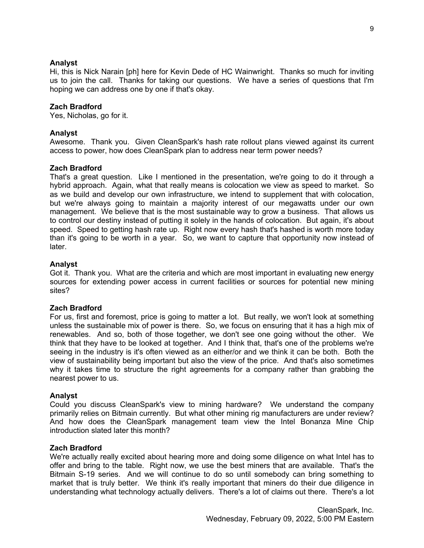### **Analyst**

Hi, this is Nick Narain [ph] here for Kevin Dede of HC Wainwright. Thanks so much for inviting us to join the call. Thanks for taking our questions. We have a series of questions that I'm hoping we can address one by one if that's okay.

## **Zach Bradford**

Yes, Nicholas, go for it.

### **Analyst**

Awesome. Thank you. Given CleanSpark's hash rate rollout plans viewed against its current access to power, how does CleanSpark plan to address near term power needs?

### **Zach Bradford**

That's a great question. Like I mentioned in the presentation, we're going to do it through a hybrid approach. Again, what that really means is colocation we view as speed to market. So as we build and develop our own infrastructure, we intend to supplement that with colocation, but we're always going to maintain a majority interest of our megawatts under our own management. We believe that is the most sustainable way to grow a business. That allows us to control our destiny instead of putting it solely in the hands of colocation. But again, it's about speed. Speed to getting hash rate up. Right now every hash that's hashed is worth more today than it's going to be worth in a year. So, we want to capture that opportunity now instead of later.

### **Analyst**

Got it. Thank you. What are the criteria and which are most important in evaluating new energy sources for extending power access in current facilities or sources for potential new mining sites?

### **Zach Bradford**

For us, first and foremost, price is going to matter a lot. But really, we won't look at something unless the sustainable mix of power is there. So, we focus on ensuring that it has a high mix of renewables. And so, both of those together, we don't see one going without the other. We think that they have to be looked at together. And I think that, that's one of the problems we're seeing in the industry is it's often viewed as an either/or and we think it can be both. Both the view of sustainability being important but also the view of the price. And that's also sometimes why it takes time to structure the right agreements for a company rather than grabbing the nearest power to us.

### **Analyst**

Could you discuss CleanSpark's view to mining hardware? We understand the company primarily relies on Bitmain currently. But what other mining rig manufacturers are under review? And how does the CleanSpark management team view the Intel Bonanza Mine Chip introduction slated later this month?

### **Zach Bradford**

We're actually really excited about hearing more and doing some diligence on what Intel has to offer and bring to the table. Right now, we use the best miners that are available. That's the Bitmain S-19 series. And we will continue to do so until somebody can bring something to market that is truly better. We think it's really important that miners do their due diligence in understanding what technology actually delivers. There's a lot of claims out there. There's a lot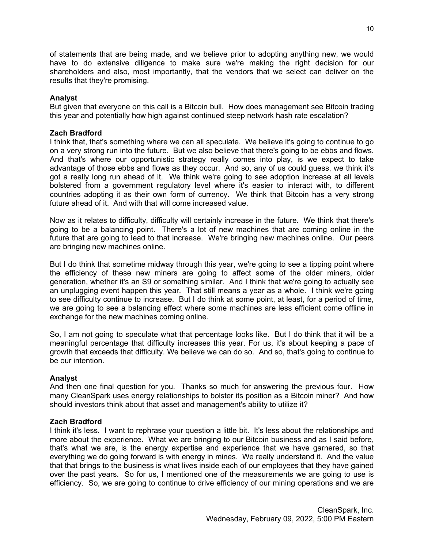of statements that are being made, and we believe prior to adopting anything new, we would have to do extensive diligence to make sure we're making the right decision for our shareholders and also, most importantly, that the vendors that we select can deliver on the results that they're promising.

## **Analyst**

But given that everyone on this call is a Bitcoin bull. How does management see Bitcoin trading this year and potentially how high against continued steep network hash rate escalation?

### **Zach Bradford**

I think that, that's something where we can all speculate. We believe it's going to continue to go on a very strong run into the future. But we also believe that there's going to be ebbs and flows. And that's where our opportunistic strategy really comes into play, is we expect to take advantage of those ebbs and flows as they occur. And so, any of us could guess, we think it's got a really long run ahead of it. We think we're going to see adoption increase at all levels bolstered from a government regulatory level where it's easier to interact with, to different countries adopting it as their own form of currency. We think that Bitcoin has a very strong future ahead of it. And with that will come increased value.

Now as it relates to difficulty, difficulty will certainly increase in the future. We think that there's going to be a balancing point. There's a lot of new machines that are coming online in the future that are going to lead to that increase. We're bringing new machines online. Our peers are bringing new machines online.

But I do think that sometime midway through this year, we're going to see a tipping point where the efficiency of these new miners are going to affect some of the older miners, older generation, whether it's an S9 or something similar. And I think that we're going to actually see an unplugging event happen this year. That still means a year as a whole. I think we're going to see difficulty continue to increase. But I do think at some point, at least, for a period of time, we are going to see a balancing effect where some machines are less efficient come offline in exchange for the new machines coming online.

So, I am not going to speculate what that percentage looks like. But I do think that it will be a meaningful percentage that difficulty increases this year. For us, it's about keeping a pace of growth that exceeds that difficulty. We believe we can do so. And so, that's going to continue to be our intention.

### **Analyst**

And then one final question for you. Thanks so much for answering the previous four. How many CleanSpark uses energy relationships to bolster its position as a Bitcoin miner? And how should investors think about that asset and management's ability to utilize it?

### **Zach Bradford**

I think it's less. I want to rephrase your question a little bit. It's less about the relationships and more about the experience. What we are bringing to our Bitcoin business and as I said before, that's what we are, is the energy expertise and experience that we have garnered, so that everything we do going forward is with energy in mines. We really understand it. And the value that that brings to the business is what lives inside each of our employees that they have gained over the past years. So for us, I mentioned one of the measurements we are going to use is efficiency. So, we are going to continue to drive efficiency of our mining operations and we are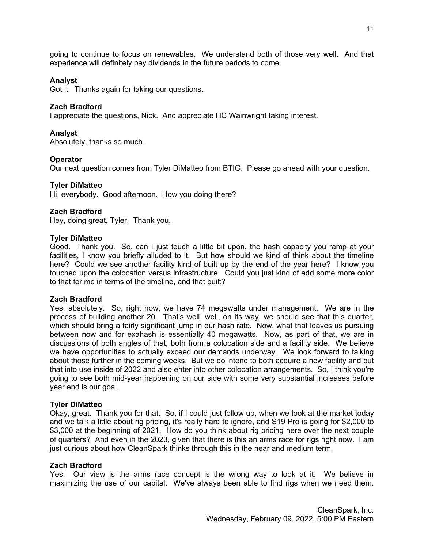going to continue to focus on renewables. We understand both of those very well. And that experience will definitely pay dividends in the future periods to come.

### **Analyst**

Got it. Thanks again for taking our questions.

### **Zach Bradford**

I appreciate the questions, Nick. And appreciate HC Wainwright taking interest.

### **Analyst**

Absolutely, thanks so much.

### **Operator**

Our next question comes from Tyler DiMatteo from BTIG. Please go ahead with your question.

### **Tyler DiMatteo**

Hi, everybody. Good afternoon. How you doing there?

### **Zach Bradford**

Hey, doing great, Tyler. Thank you.

### **Tyler DiMatteo**

Good. Thank you. So, can I just touch a little bit upon, the hash capacity you ramp at your facilities, I know you briefly alluded to it. But how should we kind of think about the timeline here? Could we see another facility kind of built up by the end of the year here? I know you touched upon the colocation versus infrastructure. Could you just kind of add some more color to that for me in terms of the timeline, and that built?

### **Zach Bradford**

Yes, absolutely. So, right now, we have 74 megawatts under management. We are in the process of building another 20. That's well, well, on its way, we should see that this quarter, which should bring a fairly significant jump in our hash rate. Now, what that leaves us pursuing between now and for exahash is essentially 40 megawatts. Now, as part of that, we are in discussions of both angles of that, both from a colocation side and a facility side. We believe we have opportunities to actually exceed our demands underway. We look forward to talking about those further in the coming weeks. But we do intend to both acquire a new facility and put that into use inside of 2022 and also enter into other colocation arrangements. So, I think you're going to see both mid-year happening on our side with some very substantial increases before year end is our goal.

### **Tyler DiMatteo**

Okay, great. Thank you for that. So, if I could just follow up, when we look at the market today and we talk a little about rig pricing, it's really hard to ignore, and S19 Pro is going for \$2,000 to \$3,000 at the beginning of 2021. How do you think about rig pricing here over the next couple of quarters? And even in the 2023, given that there is this an arms race for rigs right now. I am just curious about how CleanSpark thinks through this in the near and medium term.

### **Zach Bradford**

Yes. Our view is the arms race concept is the wrong way to look at it. We believe in maximizing the use of our capital. We've always been able to find rigs when we need them.